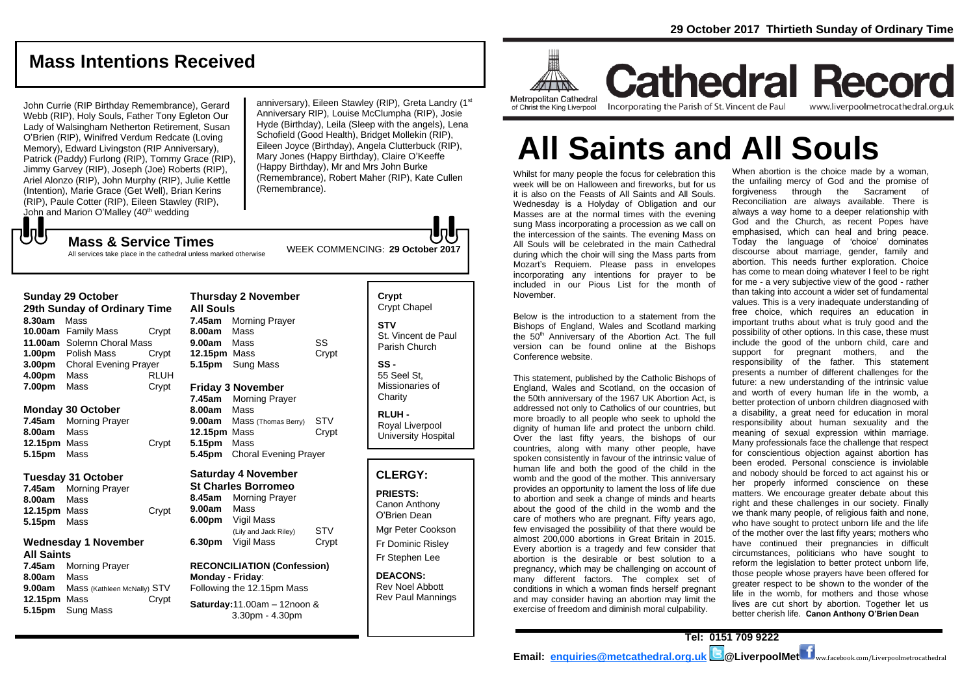# **Mass Intentions Received**

John Currie (RIP Birthday Remembrance), Gerard Webb (RIP), Holy Souls, Father Tony Egleton Our Lady of Walsingham Netherton Retirement, Susan O'Brien (RIP), Winifred Verdum Redcate (Loving Memory), Edward Livingston (RIP Anniversary), Patrick (Paddy) Furlong (RIP), Tommy Grace (RIP), Jimmy Garvey (RIP), Joseph (Joe) Roberts (RIP), Ariel Alonzo (RIP), John Murphy (RIP), Julie Kettle (Intention), Marie Grace (Get Well), Brian Kerins (RIP), Paule Cotter (RIP), Eileen Stawley (RIP), John and Marion O'Malley (40<sup>th</sup> wedding

anniversary), Eileen Stawley (RIP), Greta Landry (1st Anniversary RIP), Louise McClumpha (RIP), Josie Hyde (Birthday), Leila (Sleep with the angels), Lena Schofield (Good Health), Bridget Mollekin (RIP), Eileen Joyce (Birthday), Angela Clutterbuck (RIP), Mary Jones (Happy Birthday), Claire O'Keeffe (Happy Birthday), Mr and Mrs John Burke (Remembrance), Robert Maher (RIP), Kate Cullen (Remembrance).

WEEK COMMENCING: **<sup>29</sup> October <sup>2017</sup> Mass & Service Times** All services take place in the cathedral unless marked otherwise

#### **Sunday 29 October**

もし

**29th Sunday of Ordinary Time 8.30am** Mass **10.00am** Family Mass Crypt **11.00am** Solemn Choral Mass **1.00pm** Polish Mass Crypt **3.00pm** Choral Evening Prayer **4.00pm** Mass RLUH **7.00pm** Mass Crypt

#### **Monday 30 October**

**7.45am** Morning Prayer **8.00am** Mass **12.15pm** Mass Crypt **5.15pm** Mass

#### **Tuesday 31 October**

**7.45am** Morning Prayer **8.00am** Mass **12.15pm** Mass Crypt **5.15pm** Mass

#### **Wednesday 1 November All Saints**

**7.45am** Morning Prayer **8.00am** Mass **9.00am** Mass (Kathleen McNally) STV **12.15pm** Mass **Crypt 5.15pm** Sung Mass

**Thursday 2 November All Souls 7.45am** Morning Prayer **8.00am** Mass **9.00am** Mass SS **12.15pm** Mass Crypt **5.15pm** Sung Mass **Friday 3 November 7.45am** Morning Prayer

**8.00am** Mass **9.00am** Mass (Thomas Berry) STV **12.15pm** Mass Crypt **5.15pm** Mass **5.45pm** Choral Evening Prayer

# **Saturday 4 November**

**St Charles Borromeo 8.45am** Morning Prayer **9.00am** Mass **6.00pm** Vigil Mass (Lily and Jack Riley) STV **6.30pm** Vigil Mass Crypt

**RECONCILIATION (Confession) Monday - Friday**: Following the 12.15pm Mass

**Saturday:**11.00am – 12noon & 3.30pm - 4.30pm

**Crypt**  Crypt Chapel **STV** St. Vincent de Paul Parish Church **SS -**

55 Seel St, Missionaries of **Charity** 

**RLUH -** Royal Liverpool University Hospital

### **CLERGY:**

**PRIESTS:** Canon Anthony O'Brien *Dean*

Mgr Peter Cookson Fr Dominic Risley Fr Stephen Lee

**DEACONS:** Rev Noel Abbott Rev Paul Mannings



**Cathedral Record** Incorporating the Parish of St. Vincent de Paul www.liverpoolmetrocathedral.org.uk

# **All Saints and All Souls**

Whilst for many people the focus for celebration this week will be on Halloween and fireworks, but for us it is also on the Feasts of All Saints and All Souls. Wednesday is a Holyday of Obligation and our Masses are at the normal times with the evening sung Mass incorporating a procession as we call on the intercession of the saints. The evening Mass on All Souls will be celebrated in the main Cathedral during which the choir will sing the Mass parts from Mozart's Requiem. Please pass in envelopes incorporating any intentions for prayer to be included in our Pious List for the month of November.

Below is the introduction to a statement from the Bishops of England, Wales and Scotland marking the 50<sup>th</sup> Anniversary of the Abortion Act. The full version can be found online at the Bishops Conference website.

This statement, published by the Catholic Bishops of England, Wales and Scotland, on the occasion of the 50th anniversary of the 1967 UK Abortion Act, is addressed not only to Catholics of our countries, but more broadly to all people who seek to uphold the dignity of human life and protect the unborn child. Over the last fifty years, the bishops of our countries, along with many other people, have spoken consistently in favour of the intrinsic value of human life and both the good of the child in the womb and the good of the mother. This anniversary provides an opportunity to lament the loss of life due to abortion and seek a change of minds and hearts about the good of the child in the womb and the care of mothers who are pregnant. Fifty years ago, few envisaged the possibility of that there would be almost 200,000 abortions in Great Britain in 2015. Every abortion is a tragedy and few consider that abortion is the desirable or best solution to a pregnancy, which may be challenging on account of many different factors. The complex set of conditions in which a woman finds herself pregnant and may consider having an abortion may limit the exercise of freedom and diminish moral culpability.

When abortion is the choice made by a woman, the unfailing mercy of God and the promise of forgiveness through the Sacrament of Reconciliation are always available. There is always a way home to a deeper relationship with God and the Church, as recent Popes have emphasised, which can heal and bring peace. Today the language of 'choice' dominates discourse about marriage, gender, family and abortion. This needs further exploration. Choice has come to mean doing whatever I feel to be right for me - a very subjective view of the good - rather than taking into account a wider set of fundamental values. This is a very inadequate understanding of free choice, which requires an education in important truths about what is truly good and the possibility of other options. In this case, these must include the good of the unborn child, care and support for pregnant mothers, and the responsibility of the father. This statement presents a number of different challenges for the future: a new understanding of the intrinsic value and worth of every human life in the womb, a better protection of unborn children diagnosed with a disability, a great need for education in moral responsibility about human sexuality and the meaning of sexual expression within marriage. Many professionals face the challenge that respect for conscientious objection against abortion has been eroded. Personal conscience is inviolable and nobody should be forced to act against his or her properly informed conscience on these matters. We encourage greater debate about this right and these challenges in our society. Finally we thank many people, of religious faith and none, who have sought to protect unborn life and the life of the mother over the last fifty years; mothers who have continued their pregnancies in difficult circumstances, politicians who have sought to reform the legislation to better protect unborn life, those people whose prayers have been offered for greater respect to be shown to the wonder of the life in the womb, for mothers and those whose lives are cut short by abortion. Together let us better cherish life. **Canon Anthony O'Brien Dean**

**Tel: 0151 709 9222 Email: [enquiries@metcathedral.org.uk](mailto:enquiries@metcathedral.org.uk) @LiverpoolMet** ww.facebook.com/Liverpoolmetrocathedral